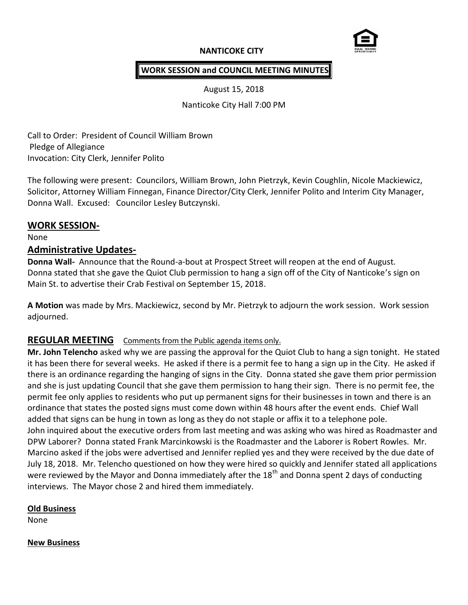# **NANTICOKE CITY**



### **WORK SESSION and COUNCIL MEETING MINUTES**

August 15, 2018

Nanticoke City Hall 7:00 PM

Call to Order: President of Council William Brown Pledge of Allegiance Invocation: City Clerk, Jennifer Polito

The following were present: Councilors, William Brown, John Pietrzyk, Kevin Coughlin, Nicole Mackiewicz, Solicitor, Attorney William Finnegan, Finance Director/City Clerk, Jennifer Polito and Interim City Manager, Donna Wall. Excused: Councilor Lesley Butczynski.

### **WORK SESSION-**

None

### **Administrative Updates-**

**Donna Wall-** Announce that the Round-a-bout at Prospect Street will reopen at the end of August. Donna stated that she gave the Quiot Club permission to hang a sign off of the City of Nanticoke's sign on Main St. to advertise their Crab Festival on September 15, 2018.

**A Motion** was made by Mrs. Mackiewicz, second by Mr. Pietrzyk to adjourn the work session. Work session adjourned.

# **REGULAR MEETING** Comments from the Public agenda items only.

**Mr. John Telencho** asked why we are passing the approval for the Quiot Club to hang a sign tonight. He stated it has been there for several weeks. He asked if there is a permit fee to hang a sign up in the City. He asked if there is an ordinance regarding the hanging of signs in the City. Donna stated she gave them prior permission and she is just updating Council that she gave them permission to hang their sign. There is no permit fee, the permit fee only applies to residents who put up permanent signs for their businesses in town and there is an ordinance that states the posted signs must come down within 48 hours after the event ends. Chief Wall added that signs can be hung in town as long as they do not staple or affix it to a telephone pole. John inquired about the executive orders from last meeting and was asking who was hired as Roadmaster and DPW Laborer? Donna stated Frank Marcinkowski is the Roadmaster and the Laborer is Robert Rowles. Mr. Marcino asked if the jobs were advertised and Jennifer replied yes and they were received by the due date of July 18, 2018. Mr. Telencho questioned on how they were hired so quickly and Jennifer stated all applications were reviewed by the Mayor and Donna immediately after the  $18<sup>th</sup>$  and Donna spent 2 days of conducting interviews. The Mayor chose 2 and hired them immediately.

### **Old Business**

None

#### **New Business**